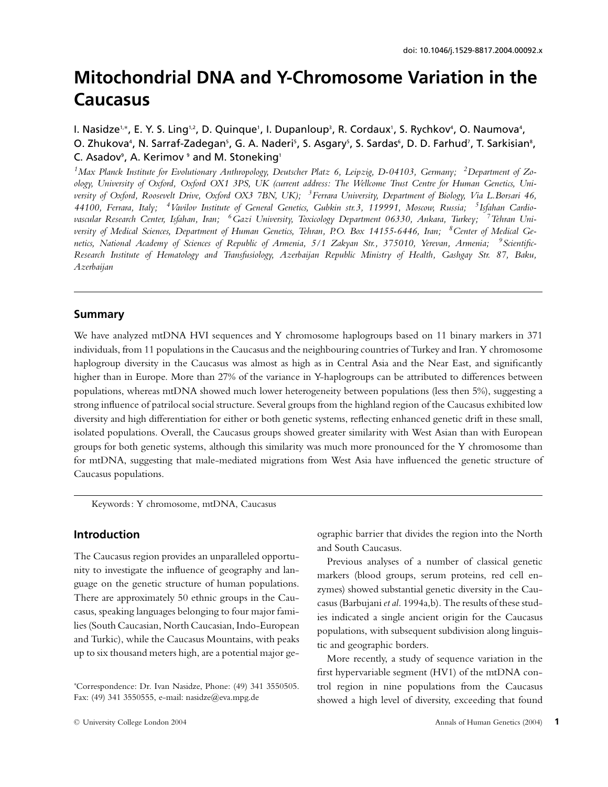# **Mitochondrial DNA and Y-Chromosome Variation in the Caucasus**

# I. Nasidze™, E. Y. S. Ling™, D. Quinque', I. Dupanloup∛, R. Cordaux', S. Rychkovª, O. Naumovaª, O. Zhukova<sup>4</sup>, N. Sarraf-Zadegan<sup>s</sup>, G. A. Naderi<sup>s</sup>, S. Asgary<sup>s</sup>, S. Sardas<sup>6</sup>, D. D. Farhud', T. Sarkisian<sup>s</sup>, C. Asadov<sup>9</sup>, A. Kerimov <sup>9</sup> and M. Stoneking<sup>1</sup>

*1Max Planck Institute for Evolutionary Anthropology, Deutscher Platz 6, Leipzig, D-04103, Germany; 2Department of Zoology, University of Oxford, Oxford OX1 3PS, UK (current address: The Wellcome Trust Centre for Human Genetics, University of Oxford, Roosevelt Drive, Oxford OX3 7BN, UK); 3Ferrara University, Department of Biology, Via L.Borsari 46, 44100, Ferrara, Italy; 4Vavilov Institute of General Genetics, Gubkin str.3, 119991, Moscow, Russia; 5Isfahan Cardiovascular Research Center, Isfahan, Iran; 6Gazi University, Toxicology Department 06330, Ankara, Turkey; 7Tehran University of Medical Sciences, Department of Human Genetics, Tehran, P.O. Box 14155-6446, Iran; 8Center of Medical Genetics, National Academy of Sciences of Republic of Armenia, 5/1 Zakyan Str., 375010, Yerevan, Armenia; 9Scientific-Research Institute of Hematology and Transfusiology, Azerbaijan Republic Ministry of Health, Gashgay Str. 87, Baku, Azerbaijan*

## **Summary**

We have analyzed mtDNA HVI sequences and Y chromosome haplogroups based on 11 binary markers in 371 individuals, from 11 populations in the Caucasus and the neighbouring countries of Turkey and Iran. Y chromosome haplogroup diversity in the Caucasus was almost as high as in Central Asia and the Near East, and significantly higher than in Europe. More than 27% of the variance in Y-haplogroups can be attributed to differences between populations, whereas mtDNA showed much lower heterogeneity between populations (less then 5%), suggesting a strong influence of patrilocal social structure. Several groups from the highland region of the Caucasus exhibited low diversity and high differentiation for either or both genetic systems, reflecting enhanced genetic drift in these small, isolated populations. Overall, the Caucasus groups showed greater similarity with West Asian than with European groups for both genetic systems, although this similarity was much more pronounced for the Y chromosome than for mtDNA, suggesting that male-mediated migrations from West Asia have influenced the genetic structure of Caucasus populations.

Keywords: Y chromosome, mtDNA, Caucasus

## **Introduction**

The Caucasus region provides an unparalleled opportunity to investigate the influence of geography and language on the genetic structure of human populations. There are approximately 50 ethnic groups in the Caucasus, speaking languages belonging to four major families (South Caucasian, North Caucasian, Indo-European and Turkic), while the Caucasus Mountains, with peaks up to six thousand meters high, are a potential major geographic barrier that divides the region into the North and South Caucasus.

Previous analyses of a number of classical genetic markers (blood groups, serum proteins, red cell enzymes) showed substantial genetic diversity in the Caucasus (Barbujani *et al.* 1994a,b). The results of these studies indicated a single ancient origin for the Caucasus populations, with subsequent subdivision along linguistic and geographic borders.

More recently, a study of sequence variation in the first hypervariable segment (HV1) of the mtDNA control region in nine populations from the Caucasus showed a high level of diversity, exceeding that found

<sup>∗</sup> Correspondence: Dr. Ivan Nasidze, Phone: (49) 341 3550505. Fax: (49) 341 3550555, e-mail: nasidze@eva.mpg.de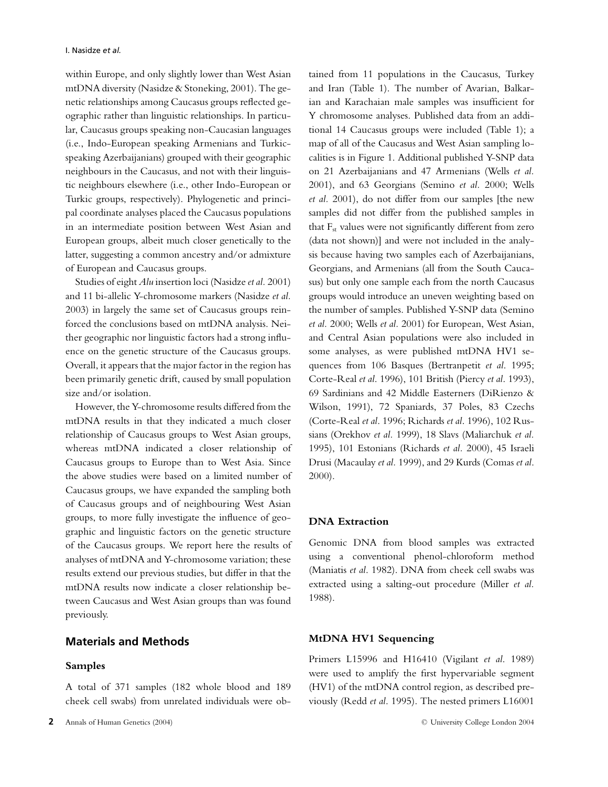within Europe, and only slightly lower than West Asian mtDNA diversity (Nasidze & Stoneking, 2001). The genetic relationships among Caucasus groups reflected geographic rather than linguistic relationships. In particular, Caucasus groups speaking non-Caucasian languages (i.e., Indo-European speaking Armenians and Turkicspeaking Azerbaijanians) grouped with their geographic neighbours in the Caucasus, and not with their linguistic neighbours elsewhere (i.e., other Indo-European or Turkic groups, respectively). Phylogenetic and principal coordinate analyses placed the Caucasus populations in an intermediate position between West Asian and European groups, albeit much closer genetically to the latter, suggesting a common ancestry and/or admixture of European and Caucasus groups.

Studies of eight *Alu* insertion loci (Nasidze *et al.* 2001) and 11 bi-allelic Y-chromosome markers (Nasidze *et al.* 2003) in largely the same set of Caucasus groups reinforced the conclusions based on mtDNA analysis. Neither geographic nor linguistic factors had a strong influence on the genetic structure of the Caucasus groups. Overall, it appears that the major factor in the region has been primarily genetic drift, caused by small population size and/or isolation.

However, the Y-chromosome results differed from the mtDNA results in that they indicated a much closer relationship of Caucasus groups to West Asian groups, whereas mtDNA indicated a closer relationship of Caucasus groups to Europe than to West Asia. Since the above studies were based on a limited number of Caucasus groups, we have expanded the sampling both of Caucasus groups and of neighbouring West Asian groups, to more fully investigate the influence of geographic and linguistic factors on the genetic structure of the Caucasus groups. We report here the results of analyses of mtDNA and Y-chromosome variation; these results extend our previous studies, but differ in that the mtDNA results now indicate a closer relationship between Caucasus and West Asian groups than was found previously.

## **Materials and Methods**

#### **Samples**

tained from 11 populations in the Caucasus, Turkey and Iran (Table 1). The number of Avarian, Balkarian and Karachaian male samples was insufficient for Y chromosome analyses. Published data from an additional 14 Caucasus groups were included (Table 1); a map of all of the Caucasus and West Asian sampling localities is in Figure 1. Additional published Y-SNP data on 21 Azerbaijanians and 47 Armenians (Wells *et al.* 2001), and 63 Georgians (Semino *et al.* 2000; Wells *et al.* 2001), do not differ from our samples [the new samples did not differ from the published samples in that  $F_{st}$  values were not significantly different from zero (data not shown)] and were not included in the analysis because having two samples each of Azerbaijanians, Georgians, and Armenians (all from the South Caucasus) but only one sample each from the north Caucasus groups would introduce an uneven weighting based on the number of samples. Published Y-SNP data (Semino *et al.* 2000; Wells *et al.* 2001) for European, West Asian, and Central Asian populations were also included in some analyses, as were published mtDNA HV1 sequences from 106 Basques (Bertranpetit *et al*. 1995; Corte-Real *et al*. 1996), 101 British (Piercy *et al*. 1993), 69 Sardinians and 42 Middle Easterners (DiRienzo & Wilson, 1991), 72 Spaniards, 37 Poles, 83 Czechs (Corte-Real *et al*. 1996; Richards *et al*. 1996), 102 Russians (Orekhov *et al.* 1999), 18 Slavs (Maliarchuk *et al.* 1995), 101 Estonians (Richards *et al.* 2000), 45 Israeli Drusi (Macaulay *et al.* 1999), and 29 Kurds (Comas *et al*. 2000).

#### **DNA Extraction**

Genomic DNA from blood samples was extracted using a conventional phenol-chloroform method (Maniatis *et al*. 1982). DNA from cheek cell swabs was extracted using a salting-out procedure (Miller *et al.* 1988).

## **MtDNA HV1 Sequencing**

Primers L15996 and H16410 (Vigilant *et al*. 1989) were used to amplify the first hypervariable segment (HV1) of the mtDNA control region, as described previously (Redd *et al*. 1995). The nested primers L16001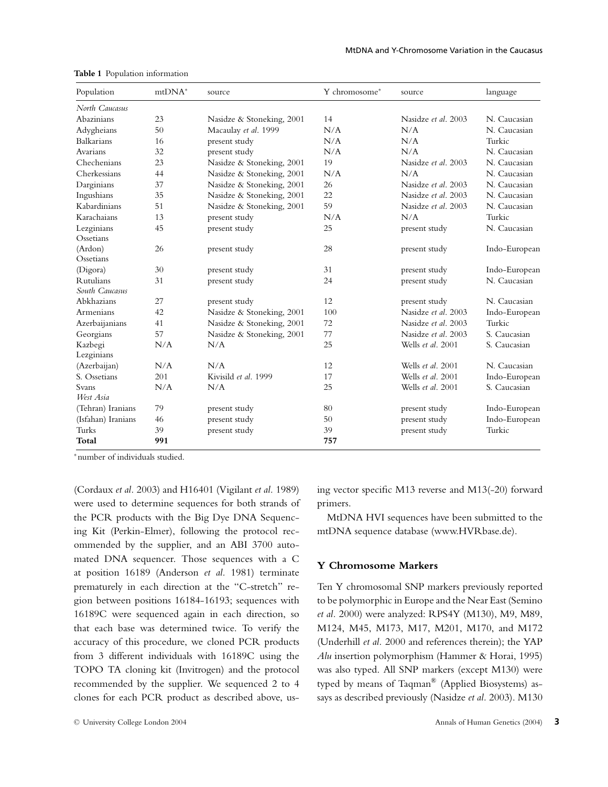| Population                         | $mtDNA*$ | source                    | Y chromosome* | source              | language      |
|------------------------------------|----------|---------------------------|---------------|---------------------|---------------|
| North Caucasus                     |          |                           |               |                     |               |
| Abazinians                         | 23       | Nasidze & Stoneking, 2001 | 14            | Nasidze et al. 2003 | N. Caucasian  |
| Adygheians                         | 50       | Macaulay et al. 1999      | N/A           | N/A                 | N. Caucasian  |
| <b>Balkarians</b>                  | 16       | present study             | N/A           | N/A                 | Turkic        |
| Avarians                           | 32       | present study             | N/A           | N/A                 | N. Caucasian  |
| Chechenians                        | 23       | Nasidze & Stoneking, 2001 | 19            | Nasidze et al. 2003 | N. Caucasian  |
| Cherkessians                       | 44       | Nasidze & Stoneking, 2001 | N/A           | N/A                 | N. Caucasian  |
| Darginians                         | 37       | Nasidze & Stoneking, 2001 | 26            | Nasidze et al. 2003 | N. Caucasian  |
| Ingushians                         | 35       | Nasidze & Stoneking, 2001 | 22            | Nasidze et al. 2003 | N. Caucasian  |
| Kabardinians                       | 51       | Nasidze & Stoneking, 2001 | 59            | Nasidze et al. 2003 | N. Caucasian  |
| Karachaians                        | 13       | present study             | N/A           | N/A                 | Turkic        |
| Lezginians                         | 45       | present study             | 25            | present study       | N. Caucasian  |
| Ossetians                          |          |                           |               |                     |               |
| (Ardon)<br>Ossetians               | 26       | present study             | 28            | present study       | Indo-European |
| (Digora)                           | 30       | present study             | 31            | present study       | Indo-European |
| <b>Rutulians</b><br>South Caucasus | 31       | present study             | 24            | present study       | N. Caucasian  |
| Abkhazians                         | 27       | present study             | 12            | present study       | N. Caucasian  |
| Armenians                          | 42       | Nasidze & Stoneking, 2001 | 100           | Nasidze et al. 2003 | Indo-European |
| Azerbaijanians                     | 41       | Nasidze & Stoneking, 2001 | 72            | Nasidze et al. 2003 | Turkic        |
| Georgians                          | 57       | Nasidze & Stoneking, 2001 | 77            | Nasidze et al. 2003 | S. Caucasian  |
| Kazbegi<br>Lezginians              | N/A      | N/A                       | 25            | Wells et al. 2001   | S. Caucasian  |
| (Azerbaijan)                       | N/A      | N/A                       | 12            | Wells et al. 2001   | N. Caucasian  |
| S. Ossetians                       | 201      | Kivisild et al. 1999      | 17            | Wells et al. 2001   | Indo-European |
| Svans<br>West Asia                 | N/A      | N/A                       | 25            | Wells et al. 2001   | S. Caucasian  |
| (Tehran) Iranians                  | 79       | present study             | 80            | present study       | Indo-European |
| (Isfahan) Iranians                 | 46       | present study             | 50            | present study       | Indo-European |
| Turks                              | 39       | present study             | 39            | present study       | Turkic        |
| Total                              | 991      |                           | 757           |                     |               |

**Table 1** Population information

<sup>∗</sup>number of individuals studied.

(Cordaux *et al.* 2003) and H16401 (Vigilant *et al.* 1989) were used to determine sequences for both strands of the PCR products with the Big Dye DNA Sequencing Kit (Perkin-Elmer), following the protocol recommended by the supplier, and an ABI 3700 automated DNA sequencer. Those sequences with a C at position 16189 (Anderson *et al.* 1981) terminate prematurely in each direction at the "C-stretch" region between positions 16184-16193; sequences with 16189C were sequenced again in each direction, so that each base was determined twice. To verify the accuracy of this procedure, we cloned PCR products from 3 different individuals with 16189C using the TOPO TA cloning kit (Invitrogen) and the protocol recommended by the supplier. We sequenced 2 to 4 clones for each PCR product as described above, using vector specific M13 reverse and M13(-20) forward primers.

MtDNA HVI sequences have been submitted to the mtDNA sequence database (www.HVRbase.de).

#### **Y Chromosome Markers**

Ten Y chromosomal SNP markers previously reported to be polymorphic in Europe and the Near East (Semino *et al.* 2000) were analyzed: RPS4Y (M130), M9, M89, M124, M45, M173, M17, M201, M170, and M172 (Underhill *et al.* 2000 and references therein); the YAP *Alu* insertion polymorphism (Hammer & Horai, 1995) was also typed. All SNP markers (except M130) were typed by means of Taqman® (Applied Biosystems) assays as described previously (Nasidze *et al.* 2003). M130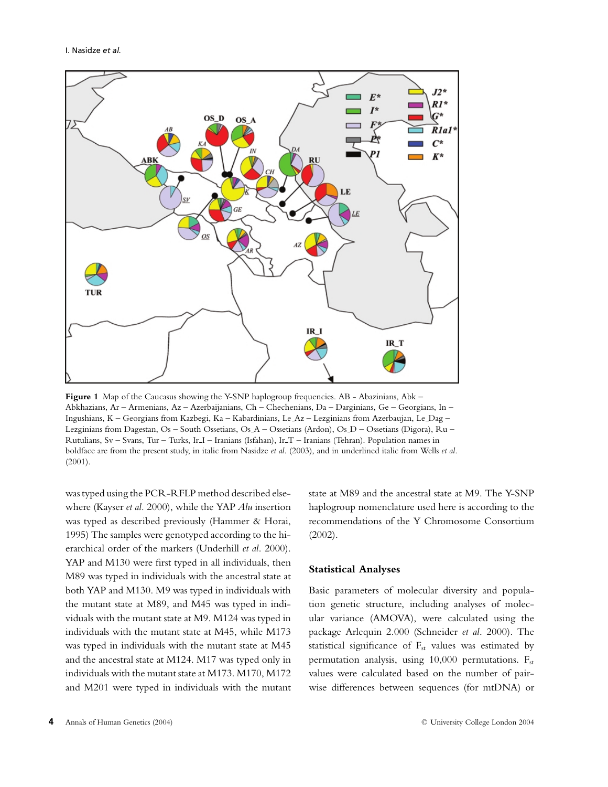

Figure 1 Map of the Caucasus showing the Y-SNP haplogroup frequencies. AB - Abazinians, Abk – Abkhazians, Ar – Armenians, Az – Azerbaijanians, Ch – Chechenians, Da – Darginians, Ge – Georgians, In – Ingushians, K – Georgians from Kazbegi, Ka – Kabardinians, Le Az – Lezginians from Azerbaujan, Le Dag – Lezginians from Dagestan, Os – South Ossetians, Os A – Ossetians (Ardon), Os D – Ossetians (Digora), Ru – Rutulians, Sv – Svans, Tur – Turks, Ir I – Iranians (Isfahan), Ir T – Iranians (Tehran). Population names in boldface are from the present study, in italic from Nasidze *et al*. (2003), and in underlined italic from Wells *et al*. (2001).

was typed using the PCR-RFLP method described elsewhere (Kayser *et al.* 2000), while the YAP *Alu* insertion was typed as described previously (Hammer & Horai, 1995) The samples were genotyped according to the hierarchical order of the markers (Underhill *et al*. 2000). YAP and M130 were first typed in all individuals, then M89 was typed in individuals with the ancestral state at both YAP and M130. M9 was typed in individuals with the mutant state at M89, and M45 was typed in individuals with the mutant state at M9. M124 was typed in individuals with the mutant state at M45, while M173 was typed in individuals with the mutant state at M45 and the ancestral state at M124. M17 was typed only in individuals with the mutant state at M173. M170, M172 and M201 were typed in individuals with the mutant

state at M89 and the ancestral state at M9. The Y-SNP haplogroup nomenclature used here is according to the recommendations of the Y Chromosome Consortium (2002).

#### **Statistical Analyses**

Basic parameters of molecular diversity and population genetic structure, including analyses of molecular variance (AMOVA), were calculated using the package Arlequin 2.000 (Schneider *et al*. 2000). The statistical significance of  $F_{st}$  values was estimated by permutation analysis, using  $10,000$  permutations.  $F_{st}$ values were calculated based on the number of pairwise differences between sequences (for mtDNA) or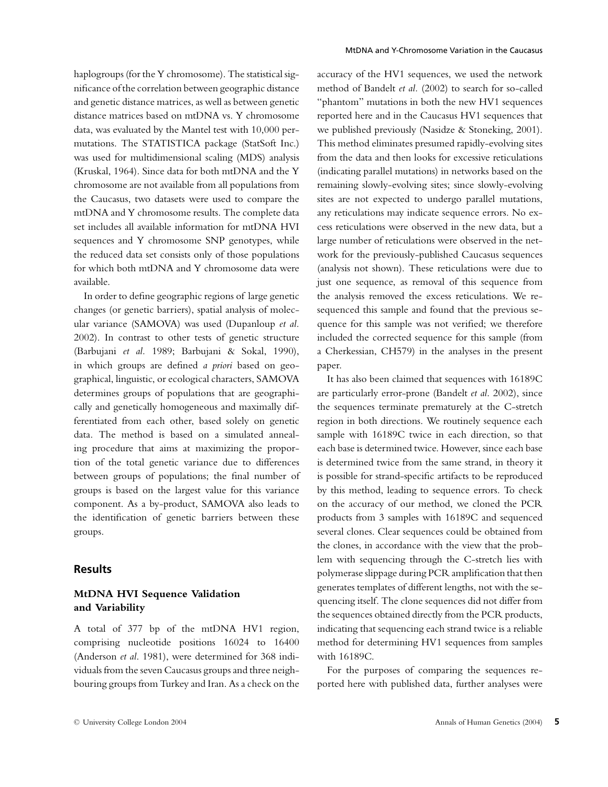haplogroups (for the Y chromosome). The statistical significance of the correlation between geographic distance and genetic distance matrices, as well as between genetic distance matrices based on mtDNA vs. Y chromosome data, was evaluated by the Mantel test with 10,000 permutations. The STATISTICA package (StatSoft Inc.) was used for multidimensional scaling (MDS) analysis (Kruskal, 1964). Since data for both mtDNA and the Y chromosome are not available from all populations from the Caucasus, two datasets were used to compare the mtDNA and Y chromosome results. The complete data set includes all available information for mtDNA HVI sequences and Y chromosome SNP genotypes, while the reduced data set consists only of those populations for which both mtDNA and Y chromosome data were available.

In order to define geographic regions of large genetic changes (or genetic barriers), spatial analysis of molecular variance (SAMOVA) was used (Dupanloup *et al.* 2002). In contrast to other tests of genetic structure (Barbujani *et al.* 1989; Barbujani & Sokal, 1990), in which groups are defined *a priori* based on geographical, linguistic, or ecological characters, SAMOVA determines groups of populations that are geographically and genetically homogeneous and maximally differentiated from each other, based solely on genetic data. The method is based on a simulated annealing procedure that aims at maximizing the proportion of the total genetic variance due to differences between groups of populations; the final number of groups is based on the largest value for this variance component. As a by-product, SAMOVA also leads to the identification of genetic barriers between these groups.

#### **Results**

## **MtDNA HVI Sequence Validation and Variability**

A total of 377 bp of the mtDNA HV1 region, comprising nucleotide positions 16024 to 16400 (Anderson *et al*. 1981), were determined for 368 individuals from the seven Caucasus groups and three neighbouring groups from Turkey and Iran. As a check on the accuracy of the HV1 sequences, we used the network method of Bandelt *et al.* (2002) to search for so-called "phantom" mutations in both the new HV1 sequences reported here and in the Caucasus HV1 sequences that we published previously (Nasidze & Stoneking, 2001). This method eliminates presumed rapidly-evolving sites from the data and then looks for excessive reticulations (indicating parallel mutations) in networks based on the remaining slowly-evolving sites; since slowly-evolving sites are not expected to undergo parallel mutations, any reticulations may indicate sequence errors. No excess reticulations were observed in the new data, but a large number of reticulations were observed in the network for the previously-published Caucasus sequences (analysis not shown). These reticulations were due to just one sequence, as removal of this sequence from the analysis removed the excess reticulations. We resequenced this sample and found that the previous sequence for this sample was not verified; we therefore included the corrected sequence for this sample (from a Cherkessian, CH579) in the analyses in the present paper.

It has also been claimed that sequences with 16189C are particularly error-prone (Bandelt *et al*. 2002), since the sequences terminate prematurely at the C-stretch region in both directions. We routinely sequence each sample with 16189C twice in each direction, so that each base is determined twice. However, since each base is determined twice from the same strand, in theory it is possible for strand-specific artifacts to be reproduced by this method, leading to sequence errors. To check on the accuracy of our method, we cloned the PCR products from 3 samples with 16189C and sequenced several clones. Clear sequences could be obtained from the clones, in accordance with the view that the problem with sequencing through the C-stretch lies with polymerase slippage during PCR amplification that then generates templates of different lengths, not with the sequencing itself. The clone sequences did not differ from the sequences obtained directly from the PCR products, indicating that sequencing each strand twice is a reliable method for determining HV1 sequences from samples with 16189C.

For the purposes of comparing the sequences reported here with published data, further analyses were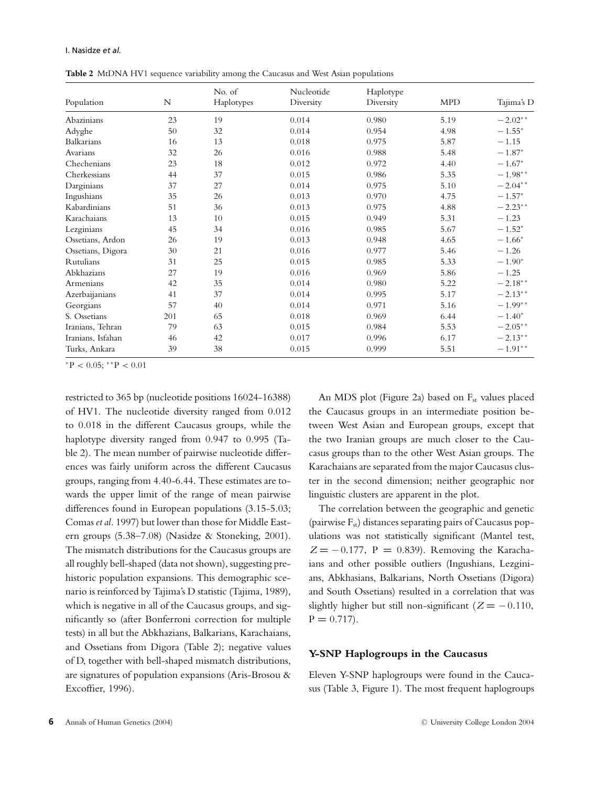**Table 2** MtDNA HV1 sequence variability among the Caucasus and West Asian populations

|                   |     | No. of     | Nucleotide | Haplotype |            |            |
|-------------------|-----|------------|------------|-----------|------------|------------|
| Population        | N   | Haplotypes | Diversity  | Diversity | <b>MPD</b> | Tajima's D |
| Abazinians        | 23  | 19         | 0.014      | 0.980     | 5.19       | $-2.02**$  |
| Adyghe            | 50  | 32         | 0.014      | 0.954     | 4.98       | $-1.55*$   |
| Balkarians        | 16  | 13         | 0.018      | 0.975     | 5.87       | $-1.15$    |
| Avarians          | 32  | 26         | 0.016      | 0.988     | 5.48       | $-1.87*$   |
| Chechenians       | 23  | 18         | 0.012      | 0.972     | 4.40       | $-1.67*$   |
| Cherkessians      | 44  | 37         | 0.015      | 0.986     | 5.35       | $-1.98**$  |
| Darginians        | 37  | 27         | 0.014      | 0.975     | 5.10       | $-2.04**$  |
| Ingushians        | 35  | 26         | 0.013      | 0.970     | 4.75       | $-1.57*$   |
| Kabardinians      | 51  | 36         | 0.013      | 0.975     | 4.88       | $-2.23**$  |
| Karachaians       | 13  | 10         | 0.015      | 0.949     | 5.31       | $-1.23$    |
| Lezginians        | 45  | 34         | 0.016      | 0.985     | 5.67       | $-1.52*$   |
| Ossetians, Ardon  | 26  | 19         | 0.013      | 0.948     | 4.65       | $-1.66*$   |
| Ossetians, Digora | 30  | 21         | 0.016      | 0.977     | 5.46       | $-1.26$    |
| Rutulians         | 31  | 25         | 0.015      | 0.985     | 5.33       | $-1.90*$   |
| Abkhazians        | 27  | 19         | 0.016      | 0.969     | 5.86       | $-1.25$    |
| Armenians         | 42  | 35         | 0.014      | 0.980     | 5.22       | $-2.18***$ |
| Azerbaijanians    | 41  | 37         | 0.014      | 0.995     | 5.17       | $-2.13**$  |
| Georgians         | 57  | 40         | 0.014      | 0.971     | 5.16       | $-1.99**$  |
| S. Ossetians      | 201 | 65         | 0.018      | 0.969     | 6.44       | $-1.40*$   |
| Iranians, Tehran  | 79  | 63         | 0.015      | 0.984     | 5.53       | $-2.05**$  |
| Iranians, Isfahan | 46  | 42         | 0.017      | 0.996     | 6.17       | $-2.13**$  |
| Turks, Ankara     | 39  | 38         | 0.015      | 0.999     | 5.51       | $-1.91**$  |

 $*P < 0.05$ ;  $*P < 0.01$ 

restricted to 365 bp (nucleotide positions 16024-16388) of HV1. The nucleotide diversity ranged from 0.012 to 0.018 in the different Caucasus groups, while the haplotype diversity ranged from 0.947 to 0.995 (Table 2). The mean number of pairwise nucleotide differences was fairly uniform across the different Caucasus groups, ranging from 4.40-6.44. These estimates are towards the upper limit of the range of mean pairwise differences found in European populations (3.15-5.03; Comas *et al*. 1997) but lower than those for Middle Eastern groups (5.38–7.08) (Nasidze & Stoneking, 2001). The mismatch distributions for the Caucasus groups are all roughly bell-shaped (data not shown), suggesting prehistoric population expansions. This demographic scenario is reinforced by Tajima's D statistic (Tajima, 1989), which is negative in all of the Caucasus groups, and significantly so (after Bonferroni correction for multiple tests) in all but the Abkhazians, Balkarians, Karachaians, and Ossetians from Digora (Table 2); negative values of D, together with bell-shaped mismatch distributions, are signatures of population expansions (Aris-Brosou & Excoffier, 1996).

An MDS plot (Figure 2a) based on  $F_{st}$  values placed the Caucasus groups in an intermediate position between West Asian and European groups, except that the two Iranian groups are much closer to the Caucasus groups than to the other West Asian groups. The Karachaians are separated from the major Caucasus cluster in the second dimension; neither geographic nor linguistic clusters are apparent in the plot.

The correlation between the geographic and genetic (pairwise  $F_{st}$ ) distances separating pairs of Caucasus populations was not statistically significant (Mantel test,  $Z = -0.177$ , P = 0.839). Removing the Karachaians and other possible outliers (Ingushians, Lezginians, Abkhasians, Balkarians, North Ossetians (Digora) and South Ossetians) resulted in a correlation that was slightly higher but still non-significant ( $Z = -0.110$ ,  $P = 0.717$ .

#### **Y-SNP Haplogroups in the Caucasus**

Eleven Y-SNP haplogroups were found in the Caucasus (Table 3, Figure 1). The most frequent haplogroups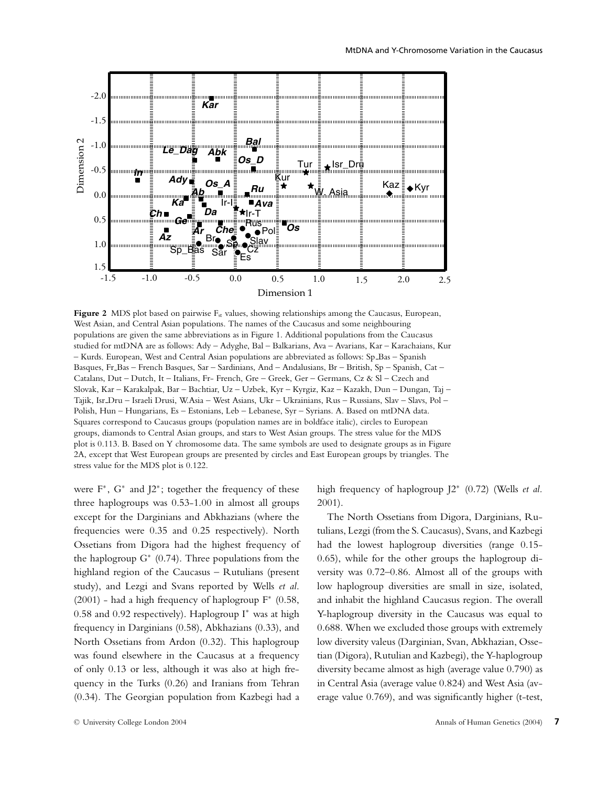

**Figure 2** MDS plot based on pairwise F<sub>st</sub> values, showing relationships among the Caucasus, European, West Asian, and Central Asian populations. The names of the Caucasus and some neighbouring populations are given the same abbreviations as in Figure 1. Additional populations from the Caucasus studied for mtDNA are as follows: Ady – Adyghe, Bal – Balkarians, Ava – Avarians, Kar – Karachaians, Kur – Kurds. European, West and Central Asian populations are abbreviated as follows: Sp Bas – Spanish Basques, Fr Bas – French Basques, Sar – Sardinians, And – Andalusians, Br – British, Sp – Spanish, Cat – Catalans, Dut – Dutch, It – Italians, Fr- French, Gre – Greek, Ger – Germans, Cz & Sl – Czech and Slovak, Kar – Karakalpak, Bar – Bachtiar, Uz – Uzbek, Kyr – Kyrgiz, Kaz – Kazakh, Dun – Dungan, Taj – Tajik, Isr Dru – Israeli Drusi, W.Asia – West Asians, Ukr – Ukrainians, Rus – Russians, Slav – Slavs, Pol – Polish, Hun – Hungarians, Es – Estonians, Leb – Lebanese, Syr – Syrians. A. Based on mtDNA data. Squares correspond to Caucasus groups (population names are in boldface italic), circles to European groups, diamonds to Central Asian groups, and stars to West Asian groups. The stress value for the MDS plot is 0.113. B. Based on Y chromosome data. The same symbols are used to designate groups as in Figure 2A, except that West European groups are presented by circles and East European groups by triangles. The stress value for the MDS plot is 0.122.

were  $F^*$ ,  $G^*$  and  $J2^*$ ; together the frequency of these three haplogroups was 0.53-1.00 in almost all groups except for the Darginians and Abkhazians (where the frequencies were 0.35 and 0.25 respectively). North Ossetians from Digora had the highest frequency of the haplogroup  $G^*$  (0.74). Three populations from the highland region of the Caucasus – Rutulians (present study), and Lezgi and Svans reported by Wells *et al*. (2001) - had a high frequency of haplogroup  $F^*$  (0.58, 0.58 and 0.92 respectively). Haplogroup I<sup>∗</sup> was at high frequency in Darginians (0.58), Abkhazians (0.33), and North Ossetians from Ardon (0.32). This haplogroup was found elsewhere in the Caucasus at a frequency of only 0.13 or less, although it was also at high frequency in the Turks (0.26) and Iranians from Tehran (0.34). The Georgian population from Kazbegi had a

© University College London 2004

high frequency of haplogroup J2<sup>∗</sup> (0.72) (Wells *et al.* 2001).

The North Ossetians from Digora, Darginians, Rutulians, Lezgi (from the S. Caucasus), Svans, and Kazbegi had the lowest haplogroup diversities (range 0.15- 0.65), while for the other groups the haplogroup diversity was 0.72–0.86. Almost all of the groups with low haplogroup diversities are small in size, isolated, and inhabit the highland Caucasus region. The overall Y-haplogroup diversity in the Caucasus was equal to 0.688. When we excluded those groups with extremely low diversity valeus (Darginian, Svan, Abkhazian, Ossetian (Digora), Rutulian and Kazbegi), the Y-haplogroup diversity became almost as high (average value 0.790) as in Central Asia (average value 0.824) and West Asia (average value 0.769), and was significantly higher (t-test,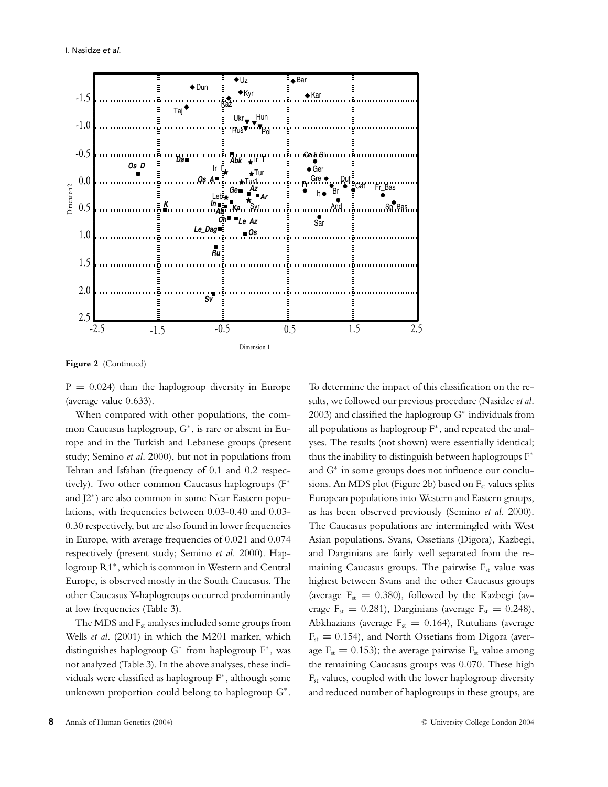

**Figure 2** (Continued)

 $P = 0.024$ ) than the haplogroup diversity in Europe (average value 0.633).

When compared with other populations, the common Caucasus haplogroup, G<sup>∗</sup> , is rare or absent in Europe and in the Turkish and Lebanese groups (present study; Semino *et al*. 2000), but not in populations from Tehran and Isfahan (frequency of 0.1 and 0.2 respectively). Two other common Caucasus haplogroups (F<sup>∗</sup> and J2<sup>∗</sup> ) are also common in some Near Eastern populations, with frequencies between 0.03-0.40 and 0.03- 0.30 respectively, but are also found in lower frequencies in Europe, with average frequencies of 0.021 and 0.074 respectively (present study; Semino *et al.* 2000). Haplogroup R1<sup>∗</sup> , which is common in Western and Central Europe, is observed mostly in the South Caucasus. The other Caucasus Y-haplogroups occurred predominantly at low frequencies (Table 3).

The MDS and F<sub>st</sub> analyses included some groups from Wells *et al*. (2001) in which the M201 marker, which distinguishes haplogroup G<sup>∗</sup> from haplogroup F<sup>∗</sup> , was not analyzed (Table 3). In the above analyses, these individuals were classified as haplogroup F<sup>∗</sup> , although some unknown proportion could belong to haplogroup G<sup>∗</sup> .

To determine the impact of this classification on the results, we followed our previous procedure (Nasidze *et al*. 2003) and classified the haplogroup G<sup>∗</sup> individuals from all populations as haplogroup F<sup>∗</sup> , and repeated the analyses. The results (not shown) were essentially identical; thus the inability to distinguish between haplogroups F<sup>∗</sup> and G<sup>∗</sup> in some groups does not influence our conclusions. An MDS plot (Figure 2b) based on  $F_{st}$  values splits European populations into Western and Eastern groups, as has been observed previously (Semino *et al*. 2000). The Caucasus populations are intermingled with West Asian populations. Svans, Ossetians (Digora), Kazbegi, and Darginians are fairly well separated from the remaining Caucasus groups. The pairwise  $F_{st}$  value was highest between Svans and the other Caucasus groups (average  $F_{st} = 0.380$ ), followed by the Kazbegi (average  $F_{st} = 0.281$ ), Darginians (average  $F_{st} = 0.248$ ), Abkhazians (average F<sub>st</sub> = 0.164), Rutulians (average Fst **=** 0.154), and North Ossetians from Digora (average  $F_{st} = 0.153$ ; the average pairwise  $F_{st}$  value among the remaining Caucasus groups was 0.070. These high  $F<sub>st</sub>$  values, coupled with the lower haplogroup diversity and reduced number of haplogroups in these groups, are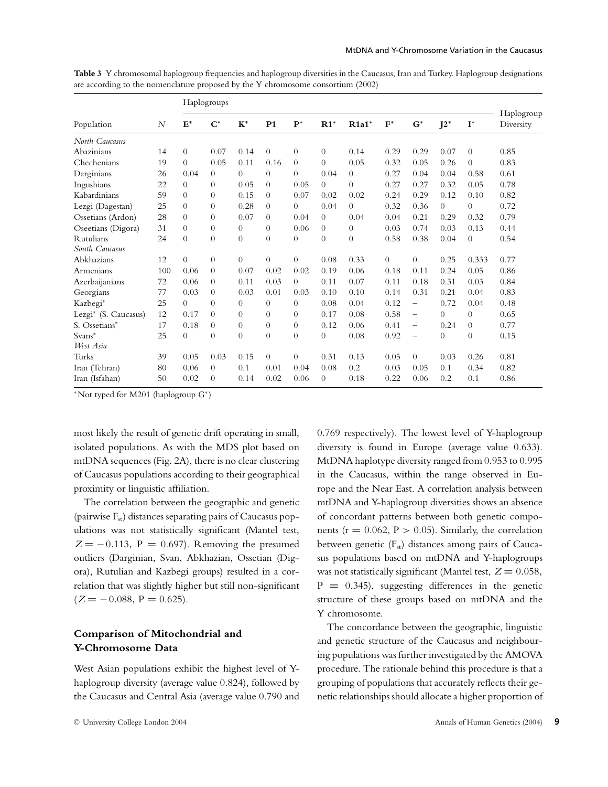|                      |     | Haplogroups    |                  |                  |                |          |          |                  |          |                          |          |                |                         |
|----------------------|-----|----------------|------------------|------------------|----------------|----------|----------|------------------|----------|--------------------------|----------|----------------|-------------------------|
| Population           | N   | $\mathbf{E}^*$ | $\mathbf{C}^*$   | $K^*$            | P <sub>1</sub> | $P^*$    | $R1*$    | $R1a1*$          | $F^*$    | $G^*$                    | $J2^*$   | $I^*$          | Haplogroup<br>Diversity |
| North Caucasus       |     |                |                  |                  |                |          |          |                  |          |                          |          |                |                         |
| Abazinians           | 14  | $\theta$       | 0.07             | 0.14             | $\Omega$       | $\theta$ | $\theta$ | 0.14             | 0.29     | 0.29                     | 0.07     | $\overline{0}$ | 0.85                    |
| Chechenians          | 19  | $\theta$       | 0.05             | 0.11             | 0.16           | $\Omega$ | $\theta$ | 0.05             | 0.32     | 0.05                     | 0.26     | $\theta$       | 0.83                    |
| Darginians           | 26  | 0.04           | $\overline{0}$   | $\Omega$         | $\overline{0}$ | $\Omega$ | 0.04     | $\boldsymbol{0}$ | 0.27     | 0.04                     | 0.04     | 0.58           | 0.61                    |
| Ingushians           | 22  | $\Omega$       | $\overline{0}$   | 0.05             | $\Omega$       | 0.05     | $\Omega$ | $\overline{0}$   | 0.27     | 0.27                     | 0.32     | 0.05           | 0.78                    |
| Kabardinians         | 59  | $\Omega$       | $\overline{0}$   | 0.15             | $\overline{0}$ | 0.07     | 0.02     | 0.02             | 0.24     | 0.29                     | 0.12     | 0.10           | 0.82                    |
| Lezgi (Dagestan)     | 25  | $\Omega$       | $\overline{0}$   | 0.28             | $\theta$       | $\theta$ | 0.04     | $\overline{0}$   | 0.32     | 0.36                     | $\theta$ | $\overline{0}$ | 0.72                    |
| Ossetians (Ardon)    | 28  | $\Omega$       | $\overline{0}$   | 0.07             | $\Omega$       | 0.04     | $\theta$ | 0.04             | 0.04     | 0.21                     | 0.29     | 0.32           | 0.79                    |
| Oseetians (Digora)   | 31  | $\overline{0}$ | $\boldsymbol{0}$ | $\boldsymbol{0}$ | $\Omega$       | 0.06     | $\theta$ | $\boldsymbol{0}$ | 0.03     | 0.74                     | 0.03     | 0.13           | 0.44                    |
| <b>Rutulians</b>     | 24  | $\Omega$       | $\boldsymbol{0}$ | $\overline{0}$   | $\theta$       | $\theta$ | $\theta$ | $\theta$         | 0.58     | 0.38                     | 0.04     | $\overline{0}$ | 0.54                    |
| South Caucasus       |     |                |                  |                  |                |          |          |                  |          |                          |          |                |                         |
| Abkhazians           | 12  | $\Omega$       | $\boldsymbol{0}$ | $\overline{0}$   | $\Omega$       | $\Omega$ | 0.08     | 0.33             | $\Omega$ | $\overline{0}$           | 0.25     | 0.333          | 0.77                    |
| Armenians            | 100 | 0.06           | $\overline{0}$   | 0.07             | 0.02           | 0.02     | 0.19     | 0.06             | 0.18     | 0.11                     | 0.24     | 0.05           | 0.86                    |
| Azerbaijanians       | 72  | 0.06           | $\overline{0}$   | 0.11             | 0.03           | $\theta$ | 0.11     | 0.07             | 0.11     | 0.18                     | 0.31     | 0.03           | 0.84                    |
| Georgians            | 77  | 0.03           | $\boldsymbol{0}$ | 0.03             | 0.01           | 0.03     | 0.10     | 0.10             | 0.14     | 0.31                     | 0.21     | 0.04           | 0.83                    |
| Kazbegi*             | 25  | $\overline{0}$ | $\overline{0}$   | $\overline{0}$   | $\Omega$       | $\Omega$ | 0.08     | 0.04             | 0.12     | $\overline{\phantom{0}}$ | 0.72     | 0.04           | 0.48                    |
| Lezgi* (S. Caucasus) | 12  | 0.17           | $\overline{0}$   | $\overline{0}$   | $\theta$       | $\Omega$ | 0.17     | 0.08             | 0.58     | $\overline{\phantom{0}}$ | $\theta$ | $\overline{0}$ | 0.65                    |
| S. Ossetians*        | 17  | 0.18           | $\boldsymbol{0}$ | $\boldsymbol{0}$ | $\Omega$       | $\Omega$ | 0.12     | 0.06             | 0.41     | $\overline{\phantom{0}}$ | 0.24     | $\theta$       | 0.77                    |
| Svans*               | 25  | $\Omega$       | $\boldsymbol{0}$ | $\overline{0}$   | $\theta$       | $\theta$ | $\Omega$ | 0.08             | 0.92     | $\overline{\phantom{0}}$ | $\theta$ | $\Omega$       | 0.15                    |
| West Asia            |     |                |                  |                  |                |          |          |                  |          |                          |          |                |                         |
| Turks                | 39  | 0.05           | 0.03             | 0.15             | $\theta$       | $\theta$ | 0.31     | 0.13             | 0.05     | $\theta$                 | 0.03     | 0.26           | 0.81                    |
| Iran (Tehran)        | 80  | 0.06           | $\overline{0}$   | 0.1              | 0.01           | 0.04     | 0.08     | 0.2              | 0.03     | 0.05                     | 0.1      | 0.34           | 0.82                    |
| Iran (Isfahan)       | 50  | 0.02           | $\overline{0}$   | 0.14             | 0.02           | 0.06     | $\theta$ | 0.18             | 0.22     | 0.06                     | 0.2      | 0.1            | 0.86                    |

**Table 3** Y chromosomal haplogroup frequencies and haplogroup diversities in the Caucasus, Iran and Turkey. Haplogroup designations are according to the nomenclature proposed by the Y chromosome consortium (2002)

<sup>∗</sup>Not typed for M201 (haplogroup G<sup>∗</sup> )

most likely the result of genetic drift operating in small, isolated populations. As with the MDS plot based on mtDNA sequences (Fig. 2A), there is no clear clustering of Caucasus populations according to their geographical proximity or linguistic affiliation.

The correlation between the geographic and genetic (pairwise  $F_{st}$ ) distances separating pairs of Caucasus populations was not statistically significant (Mantel test,  $Z = -0.113$ ,  $P = 0.697$ . Removing the presumed outliers (Darginian, Svan, Abkhazian, Ossetian (Digora), Rutulian and Kazbegi groups) resulted in a correlation that was slightly higher but still non-significant  $(Z = -0.088, P = 0.625)$ .

## **Comparison of Mitochondrial and Y-Chromosome Data**

West Asian populations exhibit the highest level of Yhaplogroup diversity (average value 0.824), followed by the Caucasus and Central Asia (average value 0.790 and 0.769 respectively). The lowest level of Y-haplogroup diversity is found in Europe (average value 0.633). MtDNA haplotype diversity ranged from 0.953 to 0.995 in the Caucasus, within the range observed in Europe and the Near East. A correlation analysis between mtDNA and Y-haplogroup diversities shows an absence of concordant patterns between both genetic components ( $r = 0.062$ ,  $P > 0.05$ ). Similarly, the correlation between genetic  $(F<sub>st</sub>)$  distances among pairs of Caucasus populations based on mtDNA and Y-haplogroups was not statistically significant (Mantel test,  $Z = 0.058$ , P **=** 0.345), suggesting differences in the genetic structure of these groups based on mtDNA and the Y chromosome.

The concordance between the geographic, linguistic and genetic structure of the Caucasus and neighbouring populations was further investigated by the AMOVA procedure. The rationale behind this procedure is that a grouping of populations that accurately reflects their genetic relationships should allocate a higher proportion of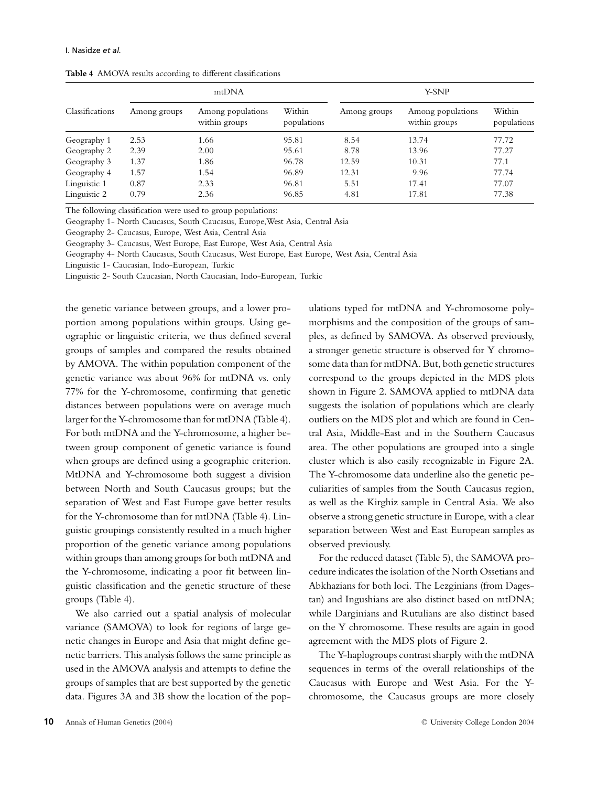|                 |              | mtDNA                              |                       | Y-SNP        |                                    |                       |  |
|-----------------|--------------|------------------------------------|-----------------------|--------------|------------------------------------|-----------------------|--|
| Classifications | Among groups | Among populations<br>within groups | Within<br>populations | Among groups | Among populations<br>within groups | Within<br>populations |  |
| Geography 1     | 2.53         | 1.66                               | 95.81                 | 8.54         | 13.74                              | 77.72                 |  |
| Geography 2     | 2.39         | 2.00                               | 95.61                 | 8.78         | 13.96                              | 77.27                 |  |
| Geography 3     | 1.37         | 1.86                               | 96.78                 | 12.59        | 10.31                              | 77.1                  |  |
| Geography 4     | 1.57         | 1.54                               | 96.89                 | 12.31        | 9.96                               | 77.74                 |  |
| Linguistic 1    | 0.87         | 2.33                               | 96.81                 | 5.51         | 17.41                              | 77.07                 |  |
| Linguistic 2    | 0.79         | 2.36                               | 96.85                 | 4.81         | 17.81                              | 77.38                 |  |

**Table 4** AMOVA results according to different classifications

The following classification were used to group populations:

Geography 1- North Caucasus, South Caucasus, Europe,West Asia, Central Asia

Geography 2- Caucasus, Europe, West Asia, Central Asia

Geography 3- Caucasus, West Europe, East Europe, West Asia, Central Asia

Geography 4- North Caucasus, South Caucasus, West Europe, East Europe, West Asia, Central Asia

Linguistic 1- Caucasian, Indo-European, Turkic

Linguistic 2- South Caucasian, North Caucasian, Indo-European, Turkic

the genetic variance between groups, and a lower proportion among populations within groups. Using geographic or linguistic criteria, we thus defined several groups of samples and compared the results obtained by AMOVA. The within population component of the genetic variance was about 96% for mtDNA vs. only 77% for the Y-chromosome, confirming that genetic distances between populations were on average much larger for the Y-chromosome than for mtDNA (Table 4). For both mtDNA and the Y-chromosome, a higher between group component of genetic variance is found when groups are defined using a geographic criterion. MtDNA and Y-chromosome both suggest a division between North and South Caucasus groups; but the separation of West and East Europe gave better results for the Y-chromosome than for mtDNA (Table 4). Linguistic groupings consistently resulted in a much higher proportion of the genetic variance among populations within groups than among groups for both mtDNA and the Y-chromosome, indicating a poor fit between linguistic classification and the genetic structure of these groups (Table 4).

We also carried out a spatial analysis of molecular variance (SAMOVA) to look for regions of large genetic changes in Europe and Asia that might define genetic barriers. This analysis follows the same principle as used in the AMOVA analysis and attempts to define the groups of samples that are best supported by the genetic data. Figures 3A and 3B show the location of the populations typed for mtDNA and Y-chromosome polymorphisms and the composition of the groups of samples, as defined by SAMOVA. As observed previously, a stronger genetic structure is observed for Y chromosome data than for mtDNA. But, both genetic structures correspond to the groups depicted in the MDS plots shown in Figure 2. SAMOVA applied to mtDNA data suggests the isolation of populations which are clearly outliers on the MDS plot and which are found in Central Asia, Middle-East and in the Southern Caucasus area. The other populations are grouped into a single cluster which is also easily recognizable in Figure 2A. The Y-chromosome data underline also the genetic peculiarities of samples from the South Caucasus region, as well as the Kirghiz sample in Central Asia. We also observe a strong genetic structure in Europe, with a clear separation between West and East European samples as observed previously.

For the reduced dataset (Table 5), the SAMOVA procedure indicates the isolation of the North Ossetians and Abkhazians for both loci. The Lezginians (from Dagestan) and Ingushians are also distinct based on mtDNA; while Darginians and Rutulians are also distinct based on the Y chromosome. These results are again in good agreement with the MDS plots of Figure 2.

The Y-haplogroups contrast sharply with the mtDNA sequences in terms of the overall relationships of the Caucasus with Europe and West Asia. For the Ychromosome, the Caucasus groups are more closely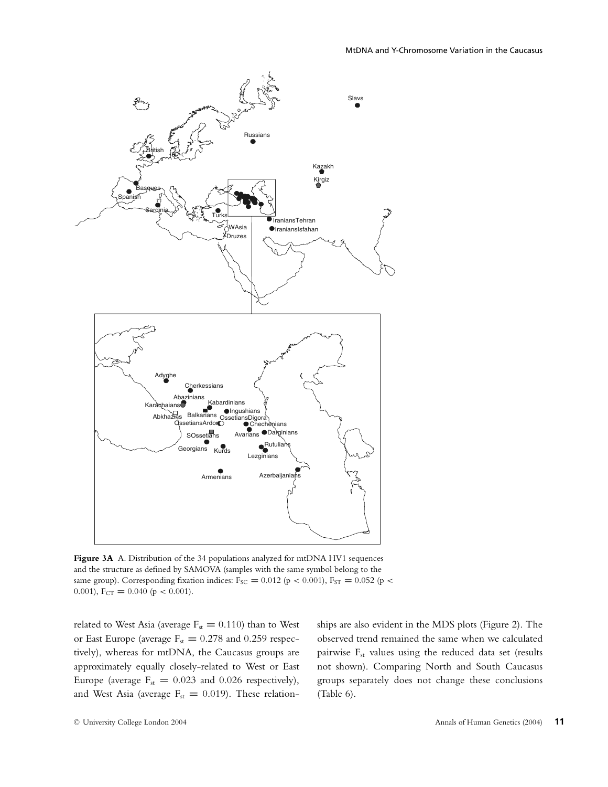

Figure 3A A. Distribution of the 34 populations analyzed for mtDNA HV1 sequences and the structure as defined by SAMOVA (samples with the same symbol belong to the same group). Corresponding fixation indices: F<sub>SC</sub> = 0.012 (p < 0.001), F<sub>ST</sub> = 0.052 (p < 0.001),  $F_{CT} = 0.040$  ( $p < 0.001$ ).

related to West Asia (average  $F_{st} = 0.110$ ) than to West or East Europe (average  $F_{st} = 0.278$  and 0.259 respectively), whereas for mtDNA, the Caucasus groups are approximately equally closely-related to West or East Europe (average  $F_{st} = 0.023$  and 0.026 respectively), and West Asia (average  $F_{st} = 0.019$ ). These relationships are also evident in the MDS plots (Figure 2). The observed trend remained the same when we calculated pairwise  $F_{st}$  values using the reduced data set (results not shown). Comparing North and South Caucasus groups separately does not change these conclusions (Table 6).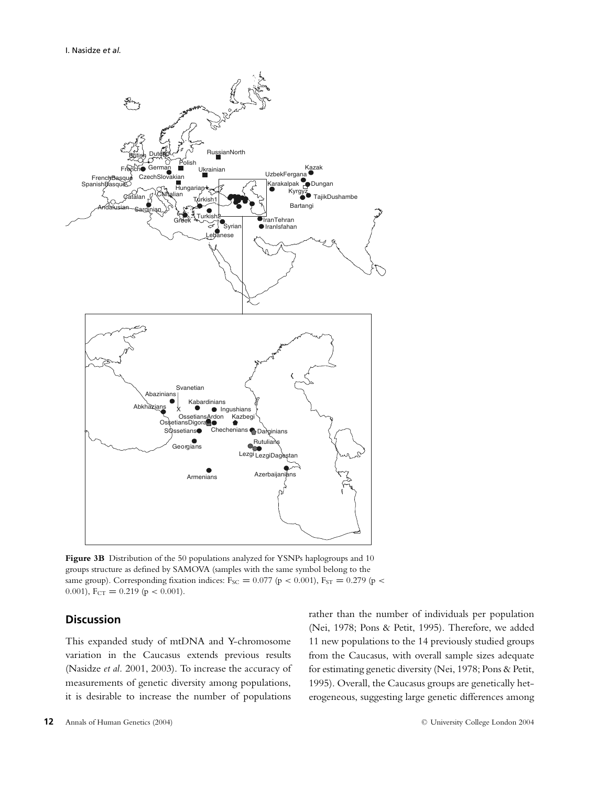

**Figure 3B** Distribution of the 50 populations analyzed for YSNPs haplogroups and 10 groups structure as defined by SAMOVA (samples with the same symbol belong to the same group). Corresponding fixation indices:  $F_{SC} = 0.077$  (p < 0.001),  $F_{ST} = 0.279$  (p < 0.001),  $F_{CT} = 0.219$  ( $p < 0.001$ ).

## **Discussion**

This expanded study of mtDNA and Y-chromosome variation in the Caucasus extends previous results (Nasidze *et al.* 2001, 2003). To increase the accuracy of measurements of genetic diversity among populations, it is desirable to increase the number of populations

rather than the number of individuals per population (Nei, 1978; Pons & Petit, 1995). Therefore, we added 11 new populations to the 14 previously studied groups from the Caucasus, with overall sample sizes adequate for estimating genetic diversity (Nei, 1978; Pons & Petit, 1995). Overall, the Caucasus groups are genetically heterogeneous, suggesting large genetic differences among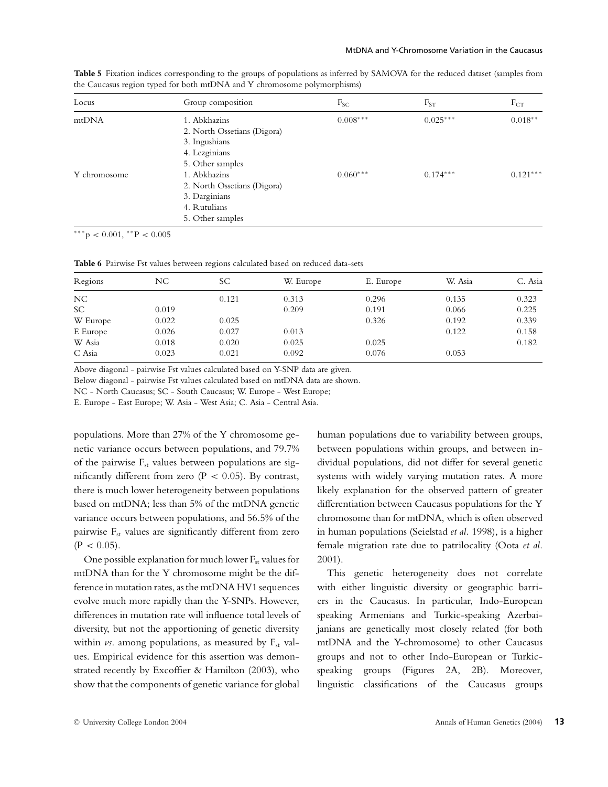| Locus        | Group composition           | $F_{SC}$   | $F_{ST}$   | $F_{CT}$   |
|--------------|-----------------------------|------------|------------|------------|
| mtDNA        | 1. Abkhazins                | $0.008***$ | $0.025***$ | $0.018**$  |
|              | 2. North Ossetians (Digora) |            |            |            |
|              | 3. Ingushians               |            |            |            |
|              | 4. Lezginians               |            |            |            |
|              | 5. Other samples            |            |            |            |
| Y chromosome | 1. Abkhazins                | $0.060***$ | $0.174***$ | $0.121***$ |
|              | 2. North Ossetians (Digora) |            |            |            |
|              | 3. Darginians               |            |            |            |
|              | 4. Rutulians                |            |            |            |
|              | 5. Other samples            |            |            |            |

**Table 5** Fixation indices corresponding to the groups of populations as inferred by SAMOVA for the reduced dataset (samples from the Caucasus region typed for both mtDNA and Y chromosome polymorphisms)

 $***p < 0.001, **P < 0.005$ 

**Table 6** Pairwise Fst values between regions calculated based on reduced data-sets

| Regions   | NС    | SС    | W. Europe | E. Europe | W. Asia | C. Asia |
|-----------|-------|-------|-----------|-----------|---------|---------|
| NC        |       | 0.121 | 0.313     | 0.296     | 0.135   | 0.323   |
| <b>SC</b> | 0.019 |       | 0.209     | 0.191     | 0.066   | 0.225   |
| W Europe  | 0.022 | 0.025 |           | 0.326     | 0.192   | 0.339   |
| E Europe  | 0.026 | 0.027 | 0.013     |           | 0.122   | 0.158   |
| W Asia    | 0.018 | 0.020 | 0.025     | 0.025     |         | 0.182   |
| C Asia    | 0.023 | 0.021 | 0.092     | 0.076     | 0.053   |         |

Above diagonal - pairwise Fst values calculated based on Y-SNP data are given.

Below diagonal - pairwise Fst values calculated based on mtDNA data are shown.

NC - North Caucasus; SC - South Caucasus; W. Europe - West Europe;

E. Europe - East Europe; W. Asia - West Asia; C. Asia - Central Asia.

populations. More than 27% of the Y chromosome genetic variance occurs between populations, and 79.7% of the pairwise F<sub>st</sub> values between populations are significantly different from zero ( $P < 0.05$ ). By contrast, there is much lower heterogeneity between populations based on mtDNA; less than 5% of the mtDNA genetic variance occurs between populations, and 56.5% of the pairwise  $F_{st}$  values are significantly different from zero  $(P < 0.05)$ .

One possible explanation for much lower  $F_{st}$  values for mtDNA than for the Y chromosome might be the difference in mutation rates, as the mtDNA HV1 sequences evolve much more rapidly than the Y-SNPs. However, differences in mutation rate will influence total levels of diversity, but not the apportioning of genetic diversity within  $\nu s$ . among populations, as measured by  $F_{st}$  values. Empirical evidence for this assertion was demonstrated recently by Excoffier & Hamilton (2003), who show that the components of genetic variance for global

human populations due to variability between groups, between populations within groups, and between individual populations, did not differ for several genetic systems with widely varying mutation rates. A more likely explanation for the observed pattern of greater differentiation between Caucasus populations for the Y chromosome than for mtDNA, which is often observed in human populations (Seielstad *et al.* 1998), is a higher female migration rate due to patrilocality (Oota *et al*. 2001).

This genetic heterogeneity does not correlate with either linguistic diversity or geographic barriers in the Caucasus. In particular, Indo-European speaking Armenians and Turkic-speaking Azerbaijanians are genetically most closely related (for both mtDNA and the Y-chromosome) to other Caucasus groups and not to other Indo-European or Turkicspeaking groups (Figures 2A, 2B). Moreover, linguistic classifications of the Caucasus groups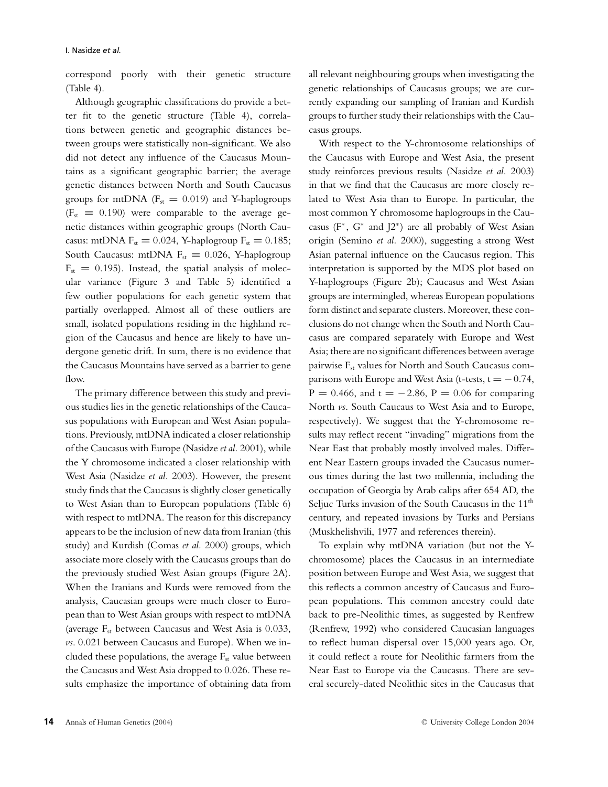correspond poorly with their genetic structure (Table 4).

Although geographic classifications do provide a better fit to the genetic structure (Table 4), correlations between genetic and geographic distances between groups were statistically non-significant. We also did not detect any influence of the Caucasus Mountains as a significant geographic barrier; the average genetic distances between North and South Caucasus groups for mtDNA  $(F_{st} = 0.019)$  and Y-haplogroups (Fst **=** 0.190) were comparable to the average genetic distances within geographic groups (North Caucasus: mtDNA  $F_{st} = 0.024$ , Y-haplogroup  $F_{st} = 0.185$ ; South Caucasus: mtDNA  $F_{st} = 0.026$ , Y-haplogroup  $F_{st} = 0.195$ ). Instead, the spatial analysis of molecular variance (Figure 3 and Table 5) identified a few outlier populations for each genetic system that partially overlapped. Almost all of these outliers are small, isolated populations residing in the highland region of the Caucasus and hence are likely to have undergone genetic drift. In sum, there is no evidence that the Caucasus Mountains have served as a barrier to gene flow.

The primary difference between this study and previous studies lies in the genetic relationships of the Caucasus populations with European and West Asian populations. Previously, mtDNA indicated a closer relationship of the Caucasus with Europe (Nasidze *et al.* 2001), while the Y chromosome indicated a closer relationship with West Asia (Nasidze *et al.* 2003). However, the present study finds that the Caucasus is slightly closer genetically to West Asian than to European populations (Table 6) with respect to mtDNA. The reason for this discrepancy appears to be the inclusion of new data from Iranian (this study) and Kurdish (Comas *et al.* 2000) groups, which associate more closely with the Caucasus groups than do the previously studied West Asian groups (Figure 2A). When the Iranians and Kurds were removed from the analysis, Caucasian groups were much closer to European than to West Asian groups with respect to mtDNA (average  $F_{st}$  between Caucasus and West Asia is 0.033, *vs*. 0.021 between Caucasus and Europe). When we included these populations, the average  $F_{st}$  value between the Caucasus and West Asia dropped to 0.026. These results emphasize the importance of obtaining data from all relevant neighbouring groups when investigating the genetic relationships of Caucasus groups; we are currently expanding our sampling of Iranian and Kurdish groups to further study their relationships with the Caucasus groups.

With respect to the Y-chromosome relationships of the Caucasus with Europe and West Asia, the present study reinforces previous results (Nasidze *et al.* 2003) in that we find that the Caucasus are more closely related to West Asia than to Europe. In particular, the most common Y chromosome haplogroups in the Caucasus ( $F^*$ ,  $G^*$  and  $J2^*$ ) are all probably of West Asian origin (Semino *et al.* 2000), suggesting a strong West Asian paternal influence on the Caucasus region. This interpretation is supported by the MDS plot based on Y-haplogroups (Figure 2b); Caucasus and West Asian groups are intermingled, whereas European populations form distinct and separate clusters. Moreover, these conclusions do not change when the South and North Caucasus are compared separately with Europe and West Asia; there are no significant differences between average pairwise F<sub>st</sub> values for North and South Caucasus comparisons with Europe and West Asia (t-tests,  $t = -0.74$ ,  $P = 0.466$ , and  $t = -2.86$ ,  $P = 0.06$  for comparing North *vs*. South Caucaus to West Asia and to Europe, respectively). We suggest that the Y-chromosome results may reflect recent "invading" migrations from the Near East that probably mostly involved males. Different Near Eastern groups invaded the Caucasus numerous times during the last two millennia, including the occupation of Georgia by Arab calips after 654 AD, the Seljuc Turks invasion of the South Caucasus in the 11<sup>th</sup> century, and repeated invasions by Turks and Persians (Muskhelishvili, 1977 and references therein).

To explain why mtDNA variation (but not the Ychromosome) places the Caucasus in an intermediate position between Europe and West Asia, we suggest that this reflects a common ancestry of Caucasus and European populations. This common ancestry could date back to pre-Neolithic times, as suggested by Renfrew (Renfrew, 1992) who considered Caucasian languages to reflect human dispersal over 15,000 years ago. Or, it could reflect a route for Neolithic farmers from the Near East to Europe via the Caucasus. There are several securely-dated Neolithic sites in the Caucasus that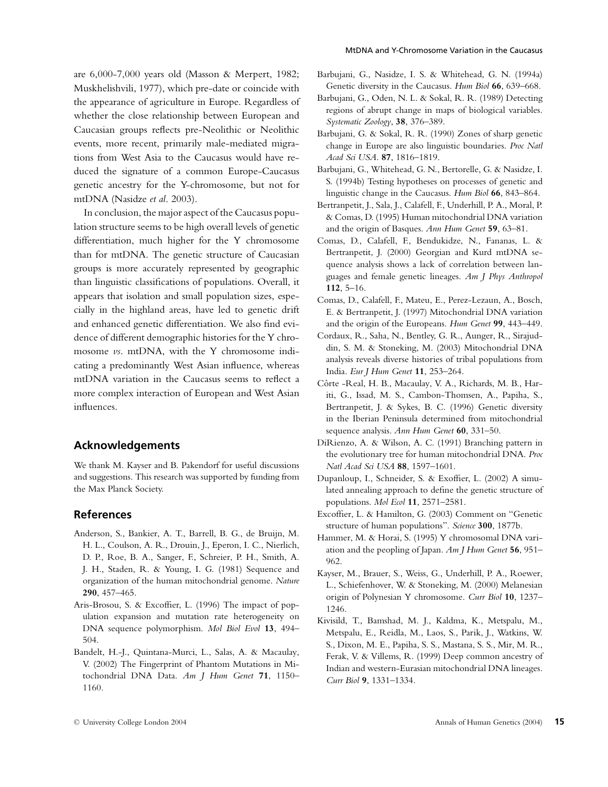are 6,000-7,000 years old (Masson & Merpert, 1982; Muskhelishvili, 1977), which pre-date or coincide with the appearance of agriculture in Europe. Regardless of whether the close relationship between European and Caucasian groups reflects pre-Neolithic or Neolithic events, more recent, primarily male-mediated migrations from West Asia to the Caucasus would have reduced the signature of a common Europe-Caucasus genetic ancestry for the Y-chromosome, but not for mtDNA (Nasidze *et al*. 2003).

In conclusion, the major aspect of the Caucasus population structure seems to be high overall levels of genetic differentiation, much higher for the Y chromosome than for mtDNA. The genetic structure of Caucasian groups is more accurately represented by geographic than linguistic classifications of populations. Overall, it appears that isolation and small population sizes, especially in the highland areas, have led to genetic drift and enhanced genetic differentiation. We also find evidence of different demographic histories for the Y chromosome *vs*. mtDNA, with the Y chromosome indicating a predominantly West Asian influence, whereas mtDNA variation in the Caucasus seems to reflect a more complex interaction of European and West Asian influences.

## **Acknowledgements**

We thank M. Kayser and B. Pakendorf for useful discussions and suggestions. This research was supported by funding from the Max Planck Society.

## **References**

- Anderson, S., Bankier, A. T., Barrell, B. G., de Bruijn, M. H. L., Coulson, A. R., Drouin, J., Eperon, I. C., Nierlich, D. P., Roe, B. A., Sanger, F., Schreier, P. H., Smith, A. J. H., Staden, R. & Young, I. G. (1981) Sequence and organization of the human mitochondrial genome. *Nature* **290**, 457–465.
- Aris-Brosou, S. & Excoffier, L. (1996) The impact of population expansion and mutation rate heterogeneity on DNA sequence polymorphism. *Mol Biol Evol* **13**, 494– 504.
- Bandelt, H.-J., Quintana-Murci, L., Salas, A. & Macaulay, V. (2002) The Fingerprint of Phantom Mutations in Mitochondrial DNA Data. *Am J Hum Genet* **71**, 1150– 1160.
- Barbujani, G., Nasidze, I. S. & Whitehead, G. N. (1994a) Genetic diversity in the Caucasus. *Hum Biol* **66**, 639–668.
- Barbujani, G., Oden, N. L. & Sokal, R. R. (1989) Detecting regions of abrupt change in maps of biological variables. *Systematic Zoology*, **38**, 376–389.
- Barbujani, G. & Sokal, R. R. (1990) Zones of sharp genetic change in Europe are also linguistic boundaries. *Proc Natl Acad Sci USA*. **87**, 1816–1819.
- Barbujani, G., Whitehead, G. N., Bertorelle, G. & Nasidze, I. S. (1994b) Testing hypotheses on processes of genetic and linguistic change in the Caucasus. *Hum Biol* **66**, 843–864.
- Bertranpetit, J., Sala, J., Calafell, F., Underhill, P. A., Moral, P. & Comas, D. (1995) Human mitochondrial DNA variation and the origin of Basques. *Ann Hum Genet* **59**, 63–81.
- Comas, D., Calafell, F., Bendukidze, N., Fananas, L. & Bertranpetit, J. (2000) Georgian and Kurd mtDNA sequence analysis shows a lack of correlation between languages and female genetic lineages. *Am J Phys Anthropol* **112**, 5–16.
- Comas, D., Calafell, F., Mateu, E., Perez-Lezaun, A., Bosch, E. & Bertranpetit, J. (1997) Mitochondrial DNA variation and the origin of the Europeans. *Hum Genet* **99**, 443–449.
- Cordaux, R., Saha, N., Bentley, G. R., Aunger, R., Sirajuddin, S. M. & Stoneking, M. (2003) Mitochondrial DNA analysis reveals diverse histories of tribal populations from India. *Eur J Hum Genet* **11**, 253–264.
- Côrte -Real, H. B., Macaulay, V. A., Richards, M. B., Hariti, G., Issad, M. S., Cambon-Thomsen, A., Papiha, S., Bertranpetit, J. & Sykes, B. C. (1996) Genetic diversity in the Iberian Peninsula determined from mitochondrial sequence analysis. *Ann Hum Genet* **60**, 331–50.
- DiRienzo, A. & Wilson, A. C. (1991) Branching pattern in the evolutionary tree for human mitochondrial DNA. *Proc Natl Acad Sci USA* **88**, 1597–1601.
- Dupanloup, I., Schneider, S. & Exoffier, L. (2002) A simulated annealing approach to define the genetic structure of populations. *Mol Ecol* **11**, 2571–2581.
- Excoffier, L. & Hamilton, G. (2003) Comment on "Genetic structure of human populations". *Science* **300**, 1877b.
- Hammer, M. & Horai, S. (1995) Y chromosomal DNA variation and the peopling of Japan. *Am J Hum Genet* **56**, 951– 962.
- Kayser, M., Brauer, S., Weiss, G., Underhill, P. A., Roewer, L., Schiefenhover, W. & Stoneking, M. (2000) Melanesian origin of Polynesian Y chromosome. *Curr Biol* **10**, 1237– 1246.
- Kivisild, T., Bamshad, M. J., Kaldma, K., Metspalu, M., Metspalu, E., Reidla, M., Laos, S., Parik, J., Watkins, W. S., Dixon, M. E., Papiha, S. S., Mastana, S. S., Mir, M. R., Ferak, V. & Villems, R. (1999) Deep common ancestry of Indian and western-Eurasian mitochondrial DNA lineages. *Curr Biol* **9**, 1331–1334.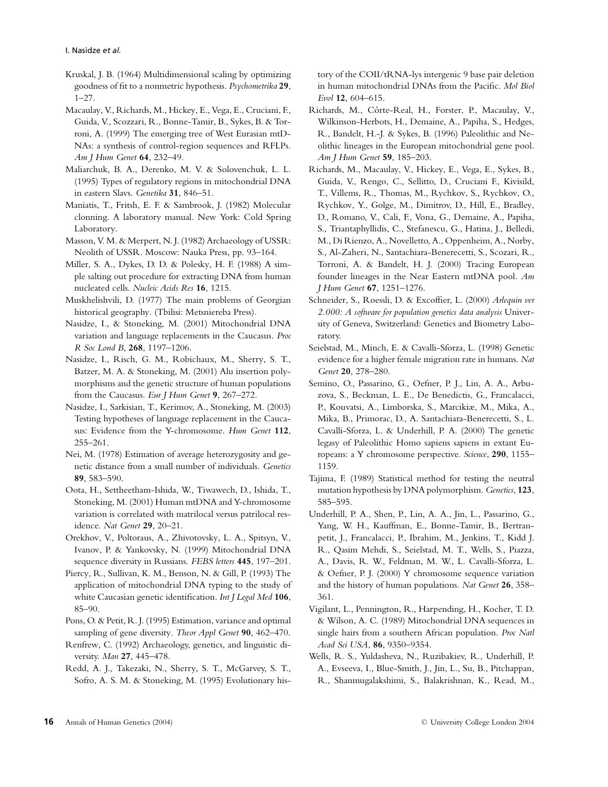- Kruskal, J. B. (1964) Multidimensional scaling by optimizing goodness of fit to a nonmetric hypothesis. *Psychometrika* **29**, 1–27.
- Macaulay, V., Richards, M., Hickey, E., Vega, E., Cruciani, F., Guida, V., Scozzari, R., Bonne-Tamir, B., Sykes, B. & Torroni, A. (1999) The emerging tree of West Eurasian mtD-NAs: a synthesis of control-region sequences and RFLPs. *Am J Hum Genet* **64**, 232–49.
- Maliarchuk, B. A., Derenko, M. V. & Solovenchuk, L. L. (1995) Types of regulatory regions in mitochondrial DNA in eastern Slavs. *Genetika* **31**, 846–51.
- Maniatis, T., Fritsh, E. F. & Sambrook, J. (1982) Molecular clonning. A laboratory manual. New York: Cold Spring Laboratory.
- Masson, V. M. & Merpert, N. J. (1982) Archaeology of USSR: Neolith of USSR. Moscow: Nauka Press, pp. 93–164.
- Miller, S. A., Dykes, D. D. & Polesky, H. F. (1988) A simple salting out procedure for extracting DNA from human nucleated cells. *Nucleic Acids Res* **16**, 1215.
- Muskhelishvili, D. (1977) The main problems of Georgian historical geography. (Tbilisi: Metsniereba Press).
- Nasidze, I., & Stoneking, M. (2001) Mitochondrial DNA variation and language replacements in the Caucasus. *Proc R Soc Lond B*, **268**, 1197–1206.
- Nasidze, I., Risch, G. M., Robichaux, M., Sherry, S. T., Batzer, M. A. & Stoneking, M. (2001) Alu insertion polymorphisms and the genetic structure of human populations from the Caucasus. *Eur J Hum Genet* **9**, 267–272.
- Nasidze, I., Sarkisian, T., Kerimov, A., Stoneking, M. (2003) Testing hypotheses of language replacement in the Caucasus: Evidence from the Y-chromosome. *Hum Genet* **112**, 255–261.
- Nei, M. (1978) Estimation of average heterozygosity and genetic distance from a small number of individuals. *Genetics* **89**, 583–590.
- Oota, H., Settheetham-Ishida, W., Tiwawech, D., Ishida, T., Stoneking, M. (2001) Human mtDNA and Y-chromosome variation is correlated with matrilocal versus patrilocal residence. *Nat Genet* **29**, 20–21.
- Orekhov, V., Poltoraus, A., Zhivotovsky, L. A., Spitsyn, V., Ivanov, P. & Yankovsky, N. (1999) Mitochondrial DNA sequence diversity in Russians. *FEBS letters* **445**, 197–201.
- Piercy, R., Sullivan, K. M., Benson, N. & Gill, P. (1993) The application of mitochondrial DNA typing to the study of white Caucasian genetic identification. *Int J Legal Med* **106**, 85–90.
- Pons, O. & Petit, R. J. (1995) Estimation, variance and optimal sampling of gene diversity. *Theor Appl Genet* **90**, 462–470.
- Renfrew, C. (1992) Archaeology, genetics, and linguistic diversity. *Man* **27**, 445–478.
- Redd, A. J., Takezaki, N., Sherry, S. T., McGarvey, S. T., Sofro, A. S. M. & Stoneking, M. (1995) Evolutionary his-

tory of the COII/tRNA-lys intergenic 9 base pair deletion in human mitochondrial DNAs from the Pacific. *Mol Biol Evol* **12**, 604–615.

- Richards, M., Côrte-Real, H., Forster, P., Macaulay, V., Wilkinson-Herbots, H., Demaine, A., Papiha, S., Hedges, R., Bandelt, H.-J. & Sykes, B. (1996) Paleolithic and Neolithic lineages in the European mitochondrial gene pool. *Am J Hum Genet* **59**, 185–203.
- Richards, M., Macaulay, V., Hickey, E., Vega, E., Sykes, B., Guida, V., Rengo, C., Sellitto, D., Cruciani F., Kivisild, T., Villems, R., Thomas, M., Rychkov, S., Rychkov, O., Rychkov, Y., Golge, M., Dimitrov, D., Hill, E., Bradley, D., Romano, V., Cali, F., Vona, G., Demaine, A., Papiha, S., Triantaphyllidis, C., Stefanescu, G., Hatina, J., Belledi, M., Di Rienzo, A., Novelletto, A., Oppenheim, A., Norby, S., Al-Zaheri, N., Santachiara-Benerecetti, S., Scozari, R., Torroni, A. & Bandelt, H. J. (2000) Tracing European founder lineages in the Near Eastern mtDNA pool. *Am J Hum Genet* **67**, 1251–1276.
- Schneider, S., Roessli, D. & Excoffier, L. (2000) *Arlequin ver 2.000: A software for population genetics data analysis* University of Geneva, Switzerland: Genetics and Biometry Laboratory.
- Seielstad, M., Minch, E. & Cavalli-Sforza, L. (1998) Genetic evidence for a higher female migration rate in humans. *Nat Genet* **20**, 278–280.
- Semino, O., Passarino, G., Oefner, P. J., Lin, A. A., Arbuzova, S., Beckman, L. E., De Benedictis, G., Francalacci, P., Kouvatsi, A., Limborska, S., Marcikiæ, M., Mika, A., Mika, B., Primorac, D., A. Santachiara-Benerecetti, S., L. Cavalli-Sforza, L. & Underhill, P. A. (2000) The genetic legasy of Paleolithic Homo sapiens sapiens in extant Europeans: a Y chromosome perspective. *Science*, **290**, 1155– 1159.
- Tajima, F. (1989) Statistical method for testing the neutral mutation hypothesis by DNA polymorphism. *Genetics*, **123**, 585–595.
- Underhill, P. A., Shen, P., Lin, A. A., Jin, L., Passarino, G., Yang, W. H., Kauffman, E., Bonne-Tamir, B., Bertranpetit, J., Francalacci, P., Ibrahim, M., Jenkins, T., Kidd J. R., Qasim Mehdi, S., Seielstad, M. T., Wells, S., Piazza, A., Davis, R. W., Feldman, M. W., L. Cavalli-Sforza, L. & Oefner, P. J. (2000) Y chromosome sequence variation and the history of human populations. *Nat Genet* **26**, 358– 361.
- Vigilant, L., Pennington, R., Harpending, H., Kocher, T. D. & Wilson, A. C. (1989) Mitochondrial DNA sequences in single hairs from a southern African population. *Proc Natl Acad Sci USA*, **86**, 9350–9354.
- Wells, R. S., Yuldasheva, N., Ruzibakiev, R., Underhill, P. A., Evseeva, I., Blue-Smith, J., Jin, L., Su, B., Pitchappan, R., Shanmugalakshimi, S., Balakrishnan, K., Read, M.,